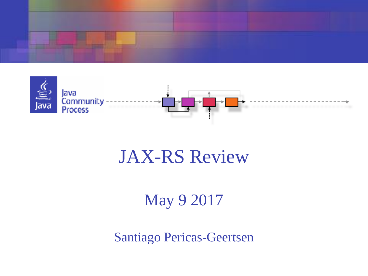



### JAX-RS Review

#### May 9 2017

Santiago Pericas-Geertsen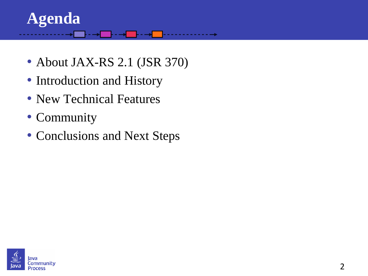#### **Agenda**

- About JAX-RS 2.1 (JSR 370)
- Introduction and History
- New Technical Features
- Community
- Conclusions and Next Steps

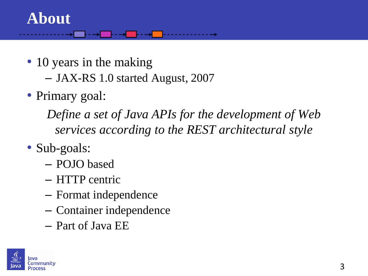#### **About**

- 10 years in the making
	- JAX-RS 1.0 started August, 2007
- Primary goal:

*Define a set of Java APIs for the development of Web services according to the REST architectural style*

- Sub-goals:
	- POJO based
	- HTTP centric
	- Format independence
	- Container independence
	- Part of Java EE

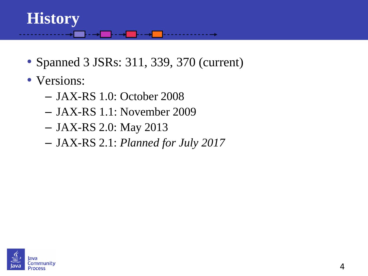### **History**

- Spanned 3 JSRs: 311, 339, 370 (current)
- Versions:
	- JAX-RS 1.0: October 2008
	- JAX-RS 1.1: November 2009
	- JAX-RS 2.0: May 2013
	- JAX-RS 2.1: *Planned for July 2017*

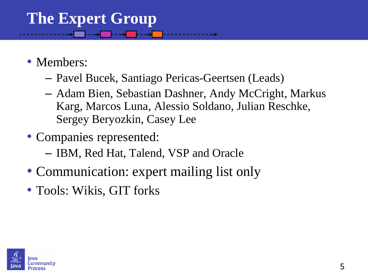# **The Expert Group**

- Members:
	- Pavel Bucek, Santiago Pericas-Geertsen (Leads)
	- Adam Bien, Sebastian Dashner, Andy McCright, Markus Karg, Marcos Luna, Alessio Soldano, Julian Reschke, Sergey Beryozkin, Casey Lee
- Companies represented:
	- IBM, Red Hat, Talend, VSP and Oracle
- Communication: expert mailing list only
- Tools: Wikis, GIT forks

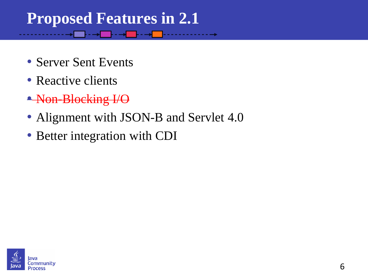#### **Proposed Features in 2.1**

- Server Sent Events
- Reactive clients
- Non-Blocking I/O
- Alignment with JSON-B and Servlet 4.0
- Better integration with CDI

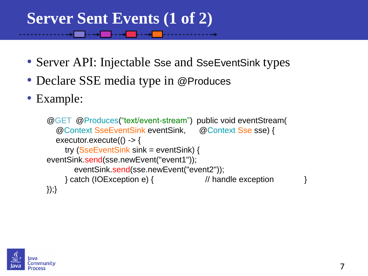### **Server Sent Events (1 of 2)**

- Server API: Injectable Sse and SseEventSink types
- Declare SSE media type in @Produces
- Example:

```
@GET @Produces("text/event-stream") public void eventStream(
   @Context SseEventSink eventSink, @Context Sse sse) { 
  executor.execute(() -> {
     try (SseEventSink sink = eventSink) { 
eventSink.send(sse.newEvent("event1")); 
        eventSink.send(sse.newEvent("event2")); 
     } catch (IOException e) { // handle exception } 
});}
```
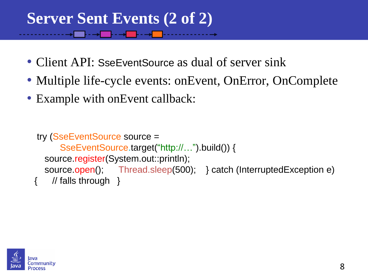## **Server Sent Events (2 of 2)**

- Client API: SseEventSource as dual of server sink
- Multiple life-cycle events: onEvent, OnError, OnComplete
- Example with on Event callback:

```
try (SseEventSource source = 
      SseEventSource.target("http://…").build()) { 
 source.register(System.out::println);
 source.open(); Thread.sleep(500); } catch (InterruptedException e)
   // falls through }
```
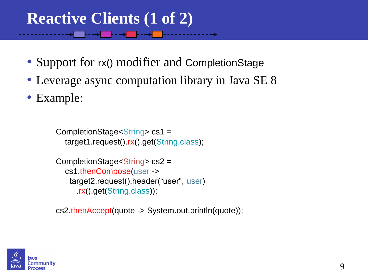### **Reactive Clients (1 of 2)**

- Support for rx() modifier and CompletionStage
- Leverage async computation library in Java SE 8
- Example:

CompletionStage<String> cs1 = target1.request().rx().get(String.class);

```
CompletionStage<String> cs2 = 
   cs1.thenCompose(user ->
    target2.request().header("user", user)
      .rx().get(String.class));
```
cs2.thenAccept(quote -> System.out.println(quote));

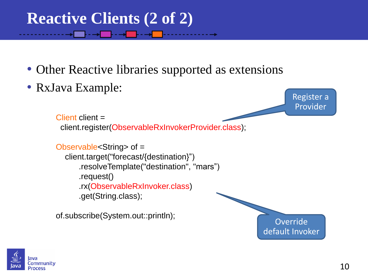## **Reactive Clients (2 of 2)**

- Other Reactive libraries supported as extensions
- RxJava Example:

```
Client client =
  client.register(ObservableRxInvokerProvider.class);
Observable<String> of = 
   client.target("forecast/{destination}")
       .resolveTemplate("destination", "mars")
       .request() 
       .rx(ObservableRxInvoker.class)
       .get(String.class);
of.subscribe(System.out::println);
                                                                      Provider
                                                                Override
```


Register a

default Invoker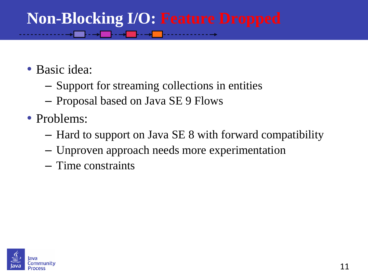#### **Non-Blocking I/O: Feature Dropped** ▁<mark>⊦·→</mark>▁⊦·→<mark></u>▁⊦…</mark>

- Basic idea:
	- Support for streaming collections in entities
	- Proposal based on Java SE 9 Flows
- Problems:
	- Hard to support on Java SE 8 with forward compatibility
	- Unproven approach needs more experimentation
	- Time constraints

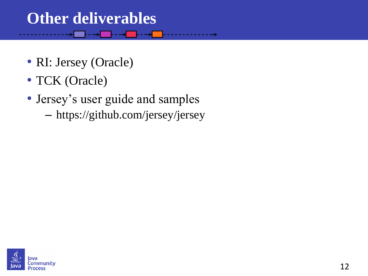#### **Other deliverables**

- RI: Jersey (Oracle)
- TCK (Oracle)
- Jersey's user guide and samples
	- https://github.com/jersey/jersey

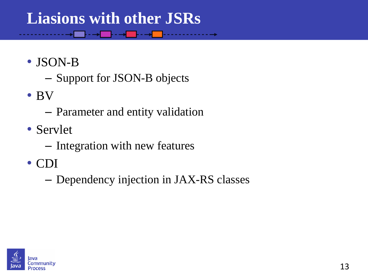#### **Liasions with other JSRs**

▁<mark>⊦·→</mark>▁‐→<mark>▁</mark>‐→<mark>▁</mark>‐

- JSON-B
	- Support for JSON-B objects
- BV
	- Parameter and entity validation
- Servlet
	- Integration with new features
- CDI
	- Dependency injection in JAX-RS classes

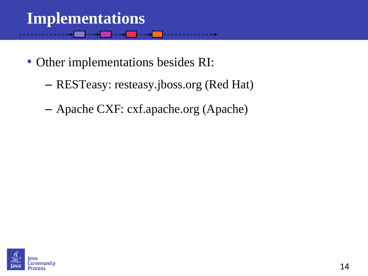#### **Implementations** - 1444

- Other implementations besides RI:
	- RESTeasy: resteasy.jboss.org (Red Hat)
	- Apache CXF: cxf.apache.org (Apache)

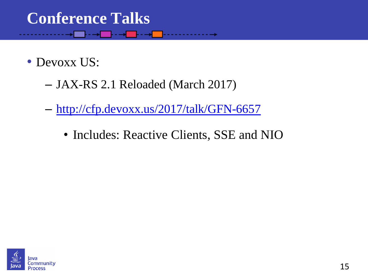#### **Conference Talks** ▁<mark>┞▚╶┾▏▕▕▖▖▃<del>▅</del>▏▁▕</mark>▖▖▖▖▖▖▖

- Devoxx US:
	- JAX-RS 2.1 Reloaded (March 2017)
	- <http://cfp.devoxx.us/2017/talk/GFN-6657>
		- Includes: Reactive Clients, SSE and NIO

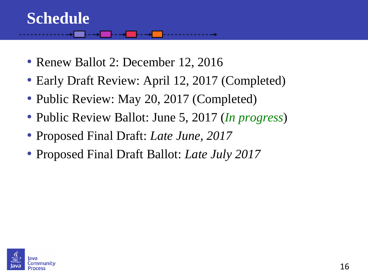#### **Schedule**

- Renew Ballot 2: December 12, 2016
- Early Draft Review: April 12, 2017 (Completed)
- Public Review: May 20, 2017 (Completed)
- Public Review Ballot: June 5, 2017 (*In progress*)
- Proposed Final Draft: *Late June, 2017*
- Proposed Final Draft Ballot: *Late July 2017*

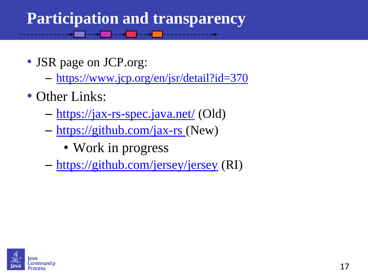### **Participation and transparency**

- JSR page on JCP.org:
	- <https://www.jcp.org/en/jsr/detail?id=370>
- Other Links:
	- <https://jax-rs-spec.java.net/> (Old)
	- [https://github.com/jax-rs \(](https://github.com/jax-rs)New)
		- Work in progress
	- <https://github.com/jersey/jersey> (RI)

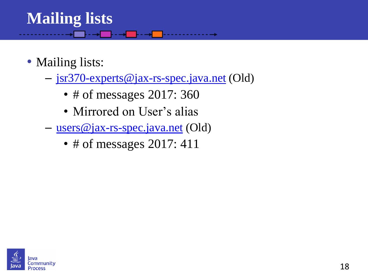# **Mailing lists**

- Mailing lists:
	- [jsr370-experts@jax-rs-spec.java.net](mailto:jsr370-experts@jax-rs-spec.java.net) (Old)
		- # of messages 2017: 360
		- Mirrored on User's alias
	- [users@jax-rs-spec.java.net](mailto:jsr370-users@jax-rs-spec.java.net) (Old)
		- # of messages 2017: 411

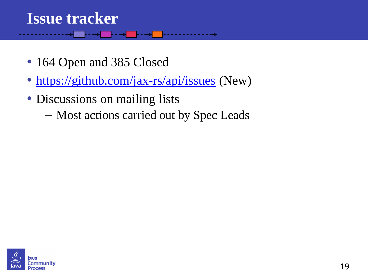# **Issue tracker**

- 164 Open and 385 Closed
- <https://github.com/jax-rs/api/issues> (New)
- Discussions on mailing lists
	- Most actions carried out by Spec Leads

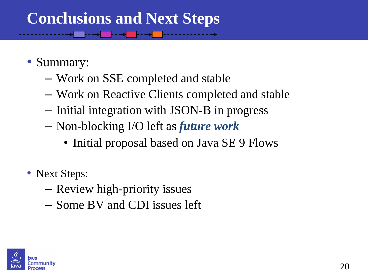## **Conclusions and Next Steps**

- Summary:
	- Work on SSE completed and stable
	- Work on Reactive Clients completed and stable
	- Initial integration with JSON-B in progress
	- Non-blocking I/O left as *future work*
		- Initial proposal based on Java SE 9 Flows
- Next Steps:
	- Review high-priority issues
	- Some BV and CDI issues left